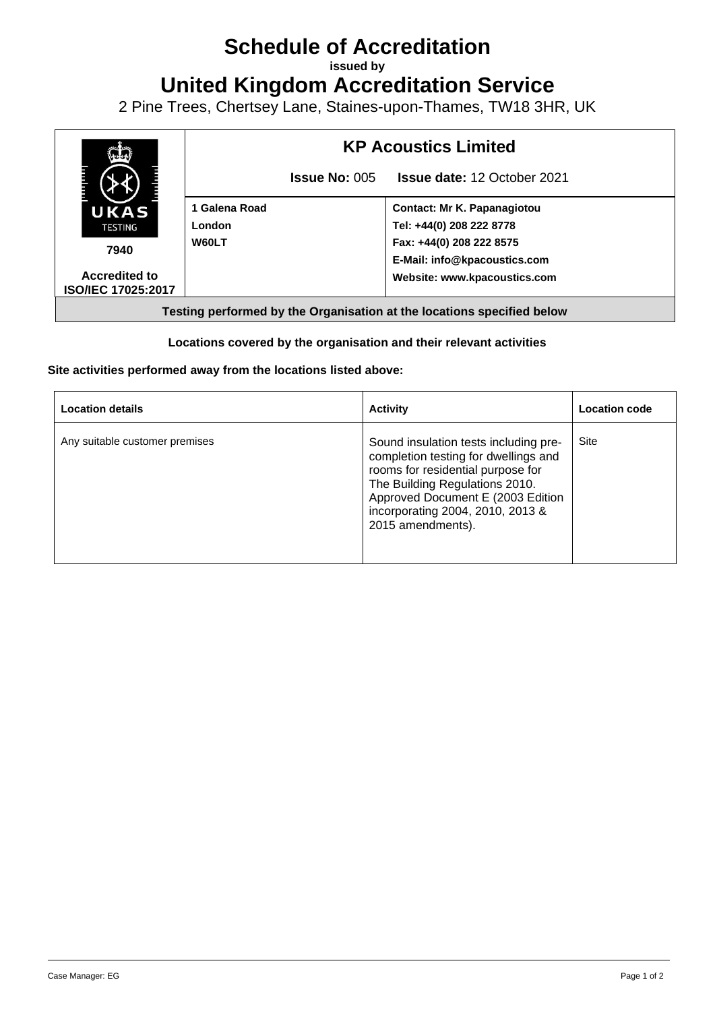## **Schedule of Accreditation**

**issued by**

**United Kingdom Accreditation Service**

2 Pine Trees, Chertsey Lane, Staines-upon-Thames, TW18 3HR, UK



## **Locations covered by the organisation and their relevant activities**

## **Site activities performed away from the locations listed above:**

| <b>Location details</b>        | <b>Activity</b>                                                                                                                                                                                                                                    | <b>Location code</b> |
|--------------------------------|----------------------------------------------------------------------------------------------------------------------------------------------------------------------------------------------------------------------------------------------------|----------------------|
| Any suitable customer premises | Sound insulation tests including pre-<br>completion testing for dwellings and<br>rooms for residential purpose for<br>The Building Regulations 2010.<br>Approved Document E (2003 Edition<br>incorporating 2004, 2010, 2013 &<br>2015 amendments). | Site                 |